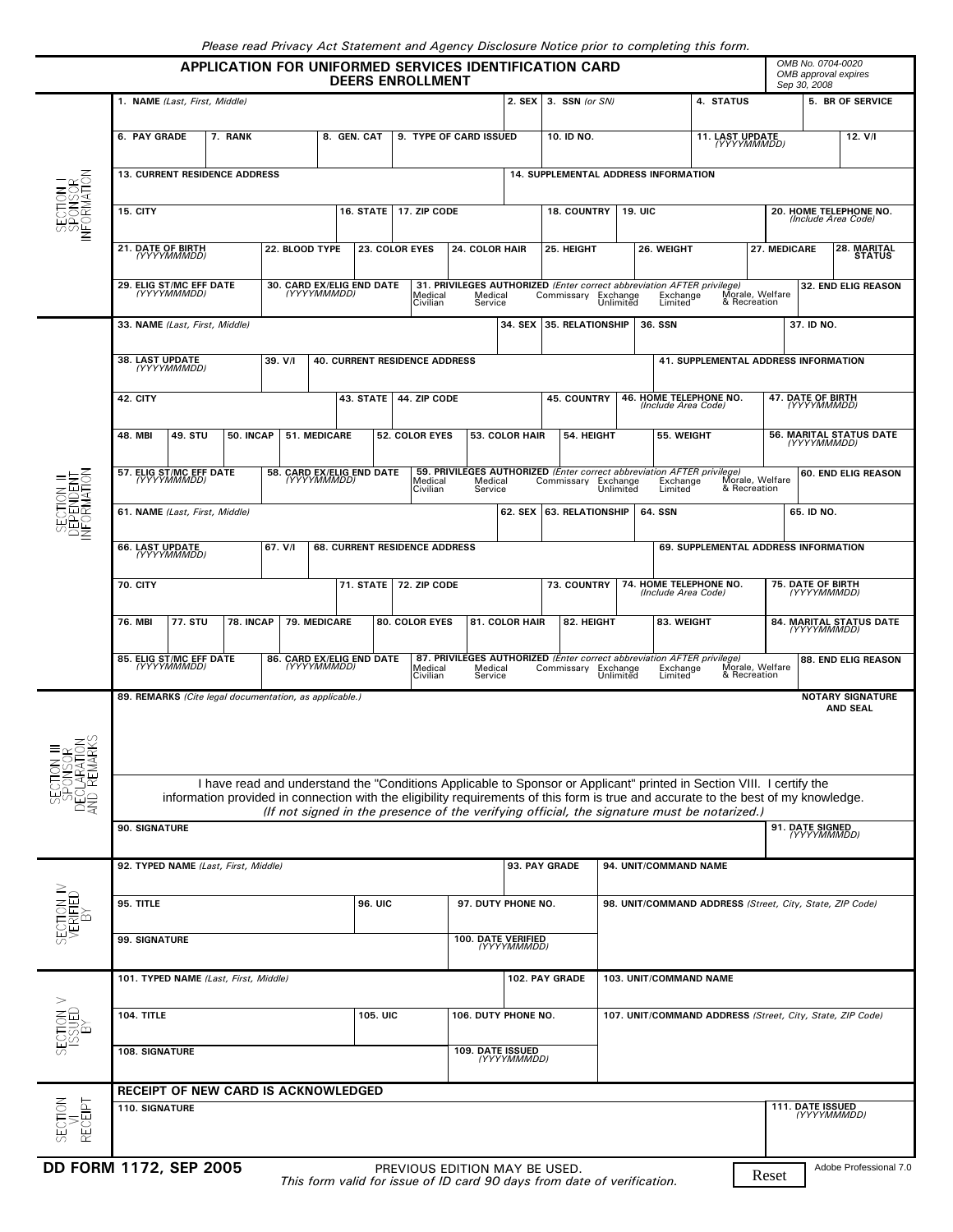|  |  | Please read Privacy Act Statement and Agency Disclosure Notice prior to completing this form. |
|--|--|-----------------------------------------------------------------------------------------------|
|  |  |                                                                                               |
|  |  |                                                                                               |

| OMB No. 0704-0020<br>APPLICATION FOR UNIFORMED SERVICES IDENTIFICATION CARD<br>OMB approval expires<br><b>DEERS ENROLLMENT</b><br>Sep 30, 2008 |                                                                                                                                                         |                                                                                                                                     |  |                                                 |                               |                                          |                                                 |         |                                     |                     |                         |                                                                                               |                                                                 |                                                                                    |                                                                                                                       |                                              |                                      |                        |  |
|------------------------------------------------------------------------------------------------------------------------------------------------|---------------------------------------------------------------------------------------------------------------------------------------------------------|-------------------------------------------------------------------------------------------------------------------------------------|--|-------------------------------------------------|-------------------------------|------------------------------------------|-------------------------------------------------|---------|-------------------------------------|---------------------|-------------------------|-----------------------------------------------------------------------------------------------|-----------------------------------------------------------------|------------------------------------------------------------------------------------|-----------------------------------------------------------------------------------------------------------------------|----------------------------------------------|--------------------------------------|------------------------|--|
| SECTION  <br>SPONSOR<br>INFORMATION                                                                                                            | 1. NAME (Last, First, Middle)                                                                                                                           |                                                                                                                                     |  |                                                 |                               |                                          | 2. SEX 3. SSN (or SN)                           |         |                                     |                     |                         |                                                                                               | 4. STATUS                                                       |                                                                                    |                                                                                                                       |                                              | 5. BR OF SERVICE                     |                        |  |
|                                                                                                                                                | 6. PAY GRADE<br>7. RANK                                                                                                                                 |                                                                                                                                     |  |                                                 | 8. GEN. CAT                   | 9. TYPE OF CARD ISSUED                   |                                                 |         |                                     |                     | 10. ID NO.              |                                                                                               |                                                                 |                                                                                    | <b>11. LAST UPDATE</b><br>(YYYYMMMDD)                                                                                 | 12. V/I                                      |                                      |                        |  |
|                                                                                                                                                | <b>13. CURRENT RESIDENCE ADDRESS</b><br>14. SUPPLEMENTAL ADDRESS INFORMATION                                                                            |                                                                                                                                     |  |                                                 |                               |                                          |                                                 |         |                                     |                     |                         |                                                                                               |                                                                 |                                                                                    |                                                                                                                       |                                              |                                      |                        |  |
|                                                                                                                                                | 15. CITY                                                                                                                                                |                                                                                                                                     |  |                                                 |                               |                                          | 17. ZIP CODE<br>16. STATE<br><b>18. COUNTRY</b> |         |                                     |                     |                         |                                                                                               | 20. HOME TELEPHONE NO.<br><b>19. UIC</b><br>(Include Area Code) |                                                                                    |                                                                                                                       |                                              |                                      |                        |  |
|                                                                                                                                                | 21. DATE OF BIRTH<br><i><b>(YYYYMMMDD)</b></i>                                                                                                          |                                                                                                                                     |  | 22. BLOOD TYPE                                  |                               |                                          | 23. COLOR EYES                                  |         | 24. COLOR HAIR                      |                     | 25. HEIGHT              |                                                                                               | 26. WEIGHT                                                      |                                                                                    |                                                                                                                       | 28. MARITAL<br>27. MEDICARE<br><b>STATUS</b> |                                      |                        |  |
|                                                                                                                                                | 29. ELIG ST/MC EFF DATE<br>(YYYYMMMDD)                                                                                                                  |                                                                                                                                     |  | 30. CARD EX/ELIG END DATE (YYYYMMMDD)           |                               |                                          |                                                 |         | Medical                             |                     | Commissary<br>Exchange  |                                                                                               |                                                                 | 31. PRIVILEGES AUTHORIZED (Enter correct abbreviation AFTER privilege)<br>Exchange |                                                                                                                       | Morale, Welfare                              | 32. END ELIG REASON                  |                        |  |
|                                                                                                                                                | 33. NAME (Last, First, Middle)                                                                                                                          |                                                                                                                                     |  |                                                 |                               | Medical<br>Civilian                      |                                                 |         | Service                             | 34. SEX             | <b>35. RELATIONSHIP</b> |                                                                                               | Unlimited<br>Limited<br>36. SSN                                 |                                                                                    |                                                                                                                       | & Recreation                                 | 37. ID NO.                           |                        |  |
| ECTION II<br>EPENDENT<br>CORMATION<br>适                                                                                                        | 38. LAST UPDATE                                                                                                                                         |                                                                                                                                     |  | 39. V/I<br><b>40. CURRENT RESIDENCE ADDRESS</b> |                               |                                          |                                                 |         |                                     |                     |                         |                                                                                               |                                                                 |                                                                                    |                                                                                                                       |                                              | 41. SUPPLEMENTAL ADDRESS INFORMATION |                        |  |
|                                                                                                                                                | <b>TYYYYMMMDDI</b><br>42. CITY                                                                                                                          |                                                                                                                                     |  |                                                 | 43. STATE                     |                                          | 44. ZIP CODE                                    |         |                                     |                     |                         | 45. COUNTRY                                                                                   |                                                                 | 46. HOME TELEPHONE NO.                                                             |                                                                                                                       |                                              | <b>47. DATE OF BIRTH</b>             |                        |  |
|                                                                                                                                                |                                                                                                                                                         |                                                                                                                                     |  |                                                 |                               |                                          |                                                 |         |                                     |                     |                         |                                                                                               |                                                                 | (Include Area Code)                                                                |                                                                                                                       |                                              | <b>TYYYYMMMDDI</b>                   |                        |  |
|                                                                                                                                                | 49. STU<br>48. MBI<br>50. INCAP                                                                                                                         |                                                                                                                                     |  | <b>51. MEDICARE</b><br><b>52. COLOR EYES</b>    |                               |                                          | <b>53. COLOR HAIR</b>                           |         |                                     | 54. HEIGHT          |                         | 55. WEIGHT                                                                                    |                                                                 |                                                                                    | 56. MARITAL STATUS DATE<br>(YYYYMMMDD)                                                                                |                                              |                                      |                        |  |
|                                                                                                                                                |                                                                                                                                                         | 57. ELIG ST/MC EFF DATE<br>(YYYYMMMDD)                                                                                              |  |                                                 |                               | 58. CARD EX/ELIG END DATE<br>(YYYYMMMDD) | Civilian                                        | Medical | Medical<br>Service                  |                     |                         | 59. PRIVILEGES AUTHORIZED (Enter correct abbreviation AFTER privilege)<br>Commissary Exchange | Unlimited                                                       | Exchange<br>Limited <sup>®</sup>                                                   |                                                                                                                       | Morale, Welfare<br>& Recreation              |                                      | 60. END ELIG REASON    |  |
|                                                                                                                                                | 61. NAME (Last, First, Middle)                                                                                                                          |                                                                                                                                     |  |                                                 |                               |                                          |                                                 |         |                                     | 62. SEX             |                         | <b>63. RELATIONSHIP</b>                                                                       | 64. SSN                                                         |                                                                                    |                                                                                                                       | 65. ID NO.                                   |                                      |                        |  |
|                                                                                                                                                | <b>66. LAST UPDATE</b><br>67. V/I<br>(YYYYMMMDD)                                                                                                        |                                                                                                                                     |  |                                                 | 68. CURRENT RESIDENCE ADDRESS |                                          |                                                 |         |                                     |                     |                         |                                                                                               |                                                                 | 69. SUPPLEMENTAL ADDRESS INFORMATION                                               |                                                                                                                       |                                              |                                      |                        |  |
|                                                                                                                                                | <b>70. CITY</b>                                                                                                                                         |                                                                                                                                     |  |                                                 |                               | 71. STATE<br>72. ZIP CODE                |                                                 |         |                                     |                     | 73. COUNTRY             |                                                                                               | 74. HOME TELEPHONE NO.<br>(Include Area Code)                   |                                                                                    |                                                                                                                       | <b>75. DATE OF BIRTH</b><br>(YYYYMMMDD)      |                                      |                        |  |
|                                                                                                                                                | <b>77. STU</b><br>76. MBI<br>78. INCAP<br>79. MEDICARE                                                                                                  |                                                                                                                                     |  | <b>80. COLOR EYES</b>                           |                               |                                          |                                                 |         | 82. HEIGHT<br><b>81. COLOR HAIR</b> |                     | 83. WEIGHT              |                                                                                               |                                                                 | 84. MARITAL STATUS DATE<br>(YYYYMMMDD)                                             |                                                                                                                       |                                              |                                      |                        |  |
|                                                                                                                                                |                                                                                                                                                         | 85. ELIG ST/MC EFF DATE<br><b>TYYYYMMMDDI</b>                                                                                       |  |                                                 |                               | 86. CARD EX/ELIG END DATE                | Medical<br>Civilian                             |         | Medical                             |                     |                         | 87. PRIVILEGES AUTHORIZED (Enter correct abbreviation AFTER privilege)<br>Commissary          | Exchange                                                        | Exchange                                                                           |                                                                                                                       | Morale, Welfare                              |                                      | 88. END ELIG REASON    |  |
|                                                                                                                                                | & Recreation<br>Service<br>Unlimitēd<br>Limited<br><b>NOTARY SIGNATURE</b><br>89. REMARKS (Cite legal documentation, as applicable.)<br><b>AND SEAL</b> |                                                                                                                                     |  |                                                 |                               |                                          |                                                 |         |                                     |                     |                         |                                                                                               |                                                                 |                                                                                    |                                                                                                                       |                                              |                                      |                        |  |
| ⋾⋍⋐⋚                                                                                                                                           |                                                                                                                                                         |                                                                                                                                     |  |                                                 |                               |                                          |                                                 |         |                                     |                     |                         |                                                                                               |                                                                 |                                                                                    |                                                                                                                       |                                              |                                      |                        |  |
|                                                                                                                                                |                                                                                                                                                         |                                                                                                                                     |  |                                                 |                               |                                          |                                                 |         |                                     |                     |                         |                                                                                               |                                                                 |                                                                                    | I have read and understand the "Conditions Applicable to Sponsor or Applicant" printed in Section VIII. I certify the |                                              |                                      |                        |  |
|                                                                                                                                                |                                                                                                                                                         | information provided in connection with the eligibility requirements of this form is true and accurate to the best of my knowledge. |  |                                                 |                               |                                          |                                                 |         |                                     |                     |                         |                                                                                               |                                                                 |                                                                                    |                                                                                                                       |                                              |                                      |                        |  |
|                                                                                                                                                | (If not signed in the presence of the verifying official, the signature must be notarized.)<br>90. SIGNATURE<br>91. DATE SIGNED<br>(YYYYMMMDD)          |                                                                                                                                     |  |                                                 |                               |                                          |                                                 |         |                                     |                     |                         |                                                                                               |                                                                 |                                                                                    |                                                                                                                       |                                              |                                      |                        |  |
| SECTION IV<br>VERIFIED                                                                                                                         | 92. TYPED NAME (Last, First, Middle)                                                                                                                    |                                                                                                                                     |  |                                                 |                               |                                          |                                                 |         | 93. PAY GRADE                       |                     |                         |                                                                                               | 94. UNIT/COMMAND NAME                                           |                                                                                    |                                                                                                                       |                                              |                                      |                        |  |
|                                                                                                                                                | 95. TITLE                                                                                                                                               |                                                                                                                                     |  |                                                 |                               |                                          | <b>96. UIC</b>                                  |         |                                     | 97. DUTY PHONE NO.  |                         |                                                                                               | 98. UNIT/COMMAND ADDRESS (Street, City, State, ZIP Code)        |                                                                                    |                                                                                                                       |                                              |                                      |                        |  |
|                                                                                                                                                | <b>99. SIGNATURE</b>                                                                                                                                    |                                                                                                                                     |  |                                                 |                               |                                          | 100. DATE VERIFIED                              |         |                                     | (YYYYMMMDD)         |                         |                                                                                               |                                                                 |                                                                                    |                                                                                                                       |                                              |                                      |                        |  |
|                                                                                                                                                | 101. TYPED NAME (Last, First, Middle)                                                                                                                   |                                                                                                                                     |  |                                                 |                               |                                          |                                                 |         | 102. PAY GRADE                      |                     |                         |                                                                                               | 103. UNIT/COMMAND NAME                                          |                                                                                    |                                                                                                                       |                                              |                                      |                        |  |
| 710M<br>V 150K <sub>2</sub>                                                                                                                    | 104. TITLE                                                                                                                                              |                                                                                                                                     |  |                                                 |                               |                                          | <b>105. UIC</b>                                 |         |                                     | 106. DUTY PHONE NO. |                         |                                                                                               | 107. UNIT/COMMAND ADDRESS (Street, City, State, ZIP Code)       |                                                                                    |                                                                                                                       |                                              |                                      |                        |  |
|                                                                                                                                                | 108. SIGNATURE                                                                                                                                          |                                                                                                                                     |  |                                                 |                               |                                          | 109. DATE ISSUED<br>(YYYYMMMDD)                 |         |                                     |                     |                         |                                                                                               |                                                                 |                                                                                    |                                                                                                                       |                                              |                                      |                        |  |
|                                                                                                                                                | <b>RECEIPT OF NEW CARD IS ACKNOWLEDGED</b>                                                                                                              |                                                                                                                                     |  |                                                 |                               |                                          |                                                 |         |                                     |                     |                         |                                                                                               |                                                                 |                                                                                    |                                                                                                                       |                                              |                                      |                        |  |
| SECTION<br>RECEIPT                                                                                                                             | 110. SIGNATURE                                                                                                                                          |                                                                                                                                     |  |                                                 |                               |                                          |                                                 |         |                                     |                     |                         | 111. DATE ISSUED<br>(YYYYMMMDD)                                                               |                                                                 |                                                                                    |                                                                                                                       |                                              |                                      |                        |  |
| DD FORM 1172, SEP 2005                                                                                                                         |                                                                                                                                                         |                                                                                                                                     |  |                                                 |                               |                                          | PREVIOUS EDITION MAY BE USED.                   |         |                                     |                     |                         |                                                                                               |                                                                 |                                                                                    |                                                                                                                       | Reset                                        |                                      | Adobe Professional 7.0 |  |